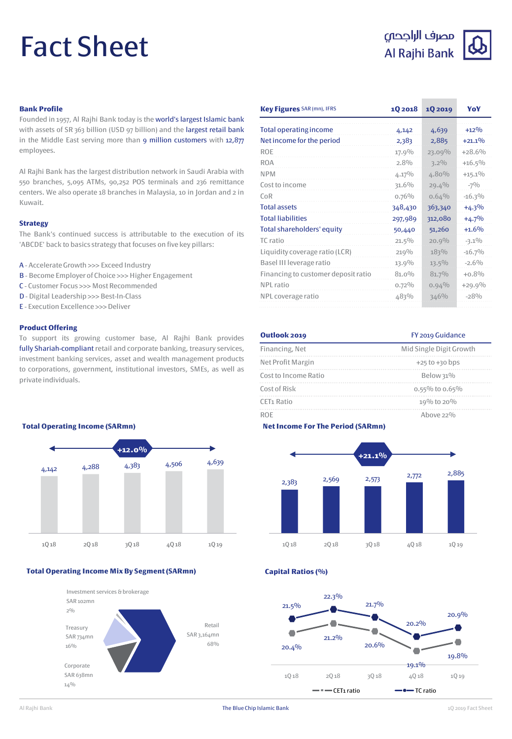# Fact Sheet

# مصرف الراجحى **Al Rajhi Bank**



# **Bank Profile**

Founded in 1957, Al Rajhi Bank today is the world's largest Islamic bank with assets of SR 363 billion (USD 97 billion) and the largest retail bank in the Middle East serving more than 9 million customers with 12,877 employees.

Al Rajhi Bank has the largest distribution network in Saudi Arabia with 550 branches, 5,095 ATMs, 90,252 POS terminals and 236 remittance centers. We also operate 18 branches in Malaysia, 10 in Jordan and 2 in Kuwait.

# **Strategy**

The Bank's continued success is attributable to the execution of its 'ABCDE' back to basics strategy that focuses on five key pillars:

- A AccelerateGrowth >>> Exceed Industry
- **B** Become Employer of Choice >>> Higher Engagement
- C Customer Focus >>> Most Recommended
- D Digital Leadership >>> Best-In-Class
- E Execution Excellence >>>Deliver

# **Product Offering**

To support its growing customer base, Al Rajhi Bank provides fully Shariah-compliant retail and corporate banking, treasury services, investment banking services, asset and wealth management products to corporations, government, institutional investors, SMEs, as well as private individuals.

| <b>Key Figures</b> SAR (mn), IFRS   | 10 2018  | 1Q 2019  | YoY      |
|-------------------------------------|----------|----------|----------|
| <b>Total operating income</b>       | 4,142    | 4,639    | $+12%$   |
| Net income for the period           | 2,383    | 2,885    | $+21.1%$ |
| <b>ROE</b>                          | $17.9\%$ | 23.09%   | $+28.6%$ |
| <b>ROA</b>                          | $2.8\%$  | $3.2\%$  | $+16.5%$ |
| <b>NPM</b>                          | $4.17\%$ | 4.80%    | $+15.1%$ |
| Cost to income                      | 31.6%    | 29.4%    | $-7\%$   |
| CoR                                 | $0.76\%$ | 0.64%    | $-16.3%$ |
| <b>Total assets</b>                 | 348,430  | 363,340  | $+4.3%$  |
| <b>Total liabilities</b>            | 297,989  | 312,080  | $+4.7%$  |
| Total shareholders' equity          | 50,440   | 51,260   | $+1.6%$  |
| TC ratio                            | $21.5\%$ | 20.9%    | $-3.1\%$ |
| Liquidity coverage ratio (LCR)      | 219%     | 183%     | $-16.7%$ |
| Basel III leverage ratio            | 13.9%    | $13.5\%$ | $-2.6%$  |
| Financing to customer deposit ratio | 81.0%    | 81.7%    | $+0.8%$  |
| NPL ratio                           | $0.72\%$ | 0.94%    | $+29.9%$ |
| NPL coverage ratio                  | 483%     | 346%     | $-28%$   |
|                                     |          |          |          |

| Outlook 2019           | FY 2019 Guidance        |  |
|------------------------|-------------------------|--|
| Financing, Net         | Mid Single Digit Growth |  |
| Net Profit Margin      | $+25$ to $+30$ bps      |  |
| Cost to Income Ratio   | Below 31%               |  |
| Cost of Risk           | $0.55\%$ to $0.65\%$    |  |
| CET <sub>1</sub> Ratio | 19% to 20%              |  |
| RUE                    | Ahove $22\%$            |  |

### **Net Income For The Period (SARmn)**



**Capital Ratios (%)**



### **Total Operating Income (SARmn)**



### **Total Operating Income Mix By Segment (SARmn)**